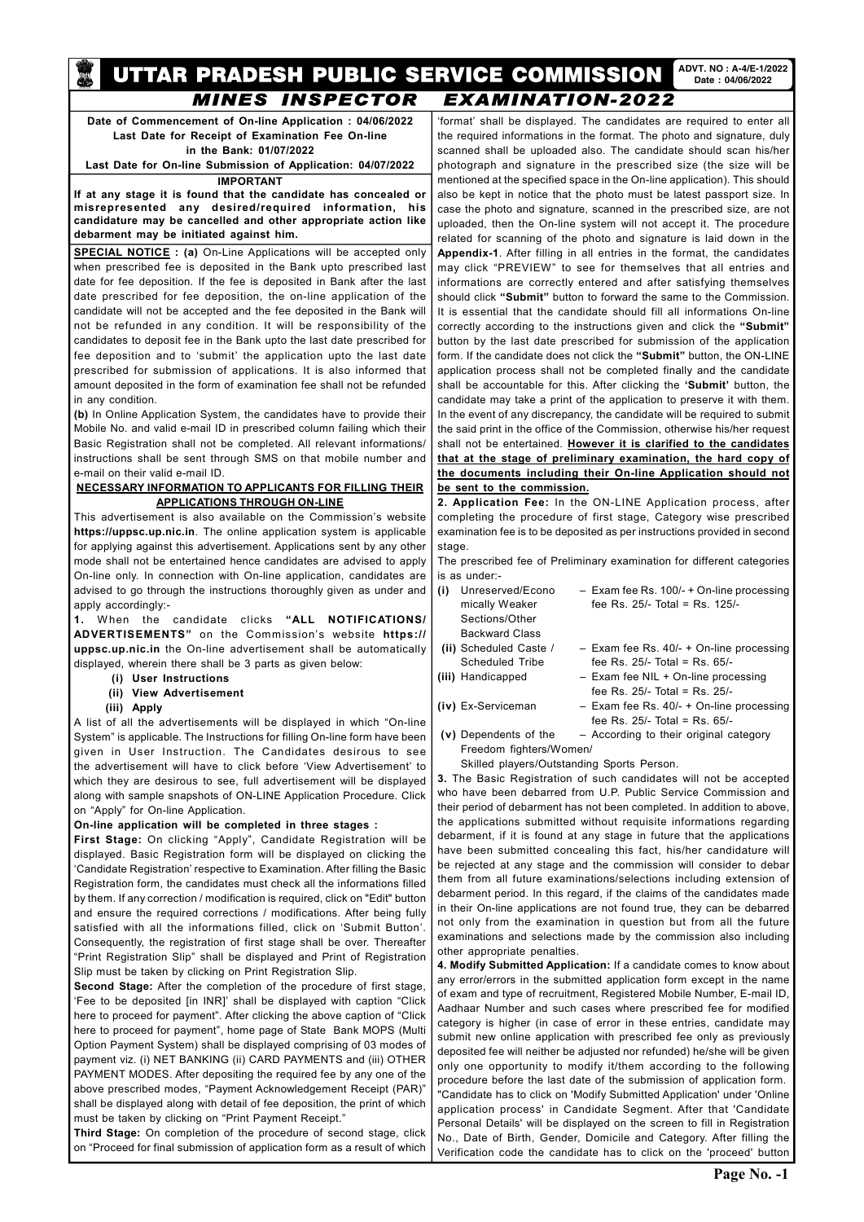#### UTTAR PRADESH PUBLIC SERVICE COMMISSION ADVT. NO : A-4/E-1/2022 Date : 04/06/2022 melve peù **MINES INSPECTOR EXAMINATION-2022**

Date of Commencement of On-line Application : 04/06/2022 Last Date for Receipt of Examination Fee On-line in the Bank: 01/07/2022 Last Date for On-line Submission of Application: 04/07/2022

### IMPORTANT

If at any stage it is found that the candidate has concealed or misrepresented any desired/required information, his candidature may be cancelled and other appropriate action like debarment may be initiated against him.

**SPECIAL NOTICE** : (a) On-Line Applications will be accepted only when prescribed fee is deposited in the Bank upto prescribed last date for fee deposition. If the fee is deposited in Bank after the last date prescribed for fee deposition, the on-line application of the candidate will not be accepted and the fee deposited in the Bank will not be refunded in any condition. It will be responsibility of the candidates to deposit fee in the Bank upto the last date prescribed for fee deposition and to 'submit' the application upto the last date prescribed for submission of applications. It is also informed that amount deposited in the form of examination fee shall not be refunded in any condition.

(b) In Online Application System, the candidates have to provide their Mobile No. and valid e-mail ID in prescribed column failing which their Basic Registration shall not be completed. All relevant informations/ instructions shall be sent through SMS on that mobile number and e-mail on their valid e-mail ID.

## NECESSARY INFORMATION TO APPLICANTS FOR FILLING THEIR APPLICATIONS THROUGH ON-LINE

This advertisement is also available on the Commission's website https://uppsc.up.nic.in. The online application system is applicable for applying against this advertisement. Applications sent by any other mode shall not be entertained hence candidates are advised to apply On-line only. In connection with On-line application, candidates are advised to go through the instructions thoroughly given as under and apply accordingly:-

Second Stage: After the completion of the procedure of first stage, 'Fee to be deposited [in INR]' shall be displayed with caption "Click here to proceed for payment". After clicking the above caption of "Click here to proceed for payment", home page of State Bank MOPS (Multi Option Payment System) shall be displayed comprising of 03 modes of payment viz. (i) NET BANKING (ii) CARD PAYMENTS and (iii) OTHER PAYMENT MODES. After depositing the required fee by any one of the above prescribed modes, "Payment Acknowledgement Receipt (PAR)" shall be displayed along with detail of fee deposition, the print of which must be taken by clicking on "Print Payment Receipt."

1. W hen the candidate clicks "ALL NOTIFICATIONS/ ADVERTISEMENTS" on the Commission's website https:// uppsc.up.nic.in the On-line advertisement shall be automatically displayed, wherein there shall be 3 parts as given below:

(i) User Instructions

## (ii) View Advertisement

(iii) Apply

A list of all the advertisements will be displayed in which "On-line System" is applicable. The Instructions for filling On-line form have been given in User Instruction. The Candidates desirous to see the advertisement will have to click before 'View Advertisement' to which they are desirous to see, full advertisement will be displayed along with sample snapshots of ON-LINE Application Procedure. Click on "Apply" for On-line Application.

## On-line application will be completed in three stages :

First Stage: On clicking "Apply", Candidate Registration will be displayed. Basic Registration form will be displayed on clicking the 'Candidate Registration' respective to Examination. After filling the Basic Registration form, the candidates must check all the informations filled by them. If any correction / modification is required, click on "Edit" button and ensure the required corrections / modifications. After being fully

satisfied with all the informations filled, click on 'Submit Button'. Consequently, the registration of first stage shall be over. Thereafter "Print Registration Slip" shall be displayed and Print of Registration Slip must be taken by clicking on Print Registration Slip.

- (ii) Scheduled Caste  $/$  Exam fee Rs. 40/- + On-line processing Scheduled Tribe fee Rs. 25/- Total = Rs. 65/-
- (iii) Handicapped Exam fee NIL + On-line processing fee Rs. 25/- Total = Rs. 25/-
- 
- (iv) Ex-Serviceman Exam fee Rs. 40/- + On-line processing fee Rs. 25/- Total = Rs. 65/-

Third Stage: On completion of the procedure of second stage, click on "Proceed for final submission of application form as a result of which

'format' shall be displayed. The candidates are required to enter all the required informations in the format. The photo and signature, duly scanned shall be uploaded also. The candidate should scan his/her photograph and signature in the prescribed size (the size will be mentioned at the specified space in the On-line application). This should also be kept in notice that the photo must be latest passport size. In case the photo and signature, scanned in the prescribed size, are not uploaded, then the On-line system will not accept it. The procedure related for scanning of the photo and signature is laid down in the Appendix-1. After filling in all entries in the format, the candidates may click "PREVIEW" to see for themselves that all entries and informations are correctly entered and after satisfying themselves should click "Submit" button to forward the same to the Commission. It is essential that the candidate should fill all informations On-line correctly according to the instructions given and click the "Submit" button by the last date prescribed for submission of the application form. If the candidate does not click the "Submit" button, the ON-LINE application process shall not be completed finally and the candidate shall be accountable for this. After clicking the 'Submit' button, the candidate may take a print of the application to preserve it with them. In the event of any discrepancy, the candidate will be required to submit the said print in the office of the Commission, otherwise his/her request shall not be entertained. However it is clarified to the candidates that at the stage of preliminary examination, the hard copy of the documents including their On-line Application should not be sent to the commission.

2. Application Fee: In the ON-LINE Application process, after completing the procedure of first stage, Category wise prescribed examination fee is to be deposited as per instructions provided in second stage.

The prescribed fee of Preliminary examination for different categories is as under:-

(i) Unreserved/Econo – Exam fee Rs. 100/- + On-line processing mically Weaker fee Rs. 25/- Total = Rs. 125/-Sections/Other Backward Class

(v) Dependents of the – According to their original category Freedom fighters/Women/

Skilled players/Outstanding Sports Person.

3. The Basic Registration of such candidates will not be accepted who have been debarred from U.P. Public Service Commission and their period of debarment has not been completed. In addition to above, the applications submitted without requisite informations regarding debarment, if it is found at any stage in future that the applications have been submitted concealing this fact, his/her candidature will be rejected at any stage and the commission will consider to debar them from all future examinations/selections including extension of debarment period. In this regard, if the claims of the candidates made in their On-line applications are not found true, they can be debarred not only from the examination in question but from all the future examinations and selections made by the commission also including other appropriate penalties. 4. Modify Submitted Application: If a candidate comes to know about any error/errors in the submitted application form except in the name of exam and type of recruitment, Registered Mobile Number, E-mail ID, Aadhaar Number and such cases where prescribed fee for modified category is higher (in case of error in these entries, candidate may submit new online application with prescribed fee only as previously deposited fee will neither be adjusted nor refunded) he/she will be given only one opportunity to modify it/them according to the following procedure before the last date of the submission of application form. "Candidate has to click on 'Modify Submitted Application' under 'Online application process' in Candidate Segment. After that 'Candidate Personal Details' will be displayed on the screen to fill in Registration No., Date of Birth, Gender, Domicile and Category. After filling the Verification code the candidate has to click on the 'proceed' button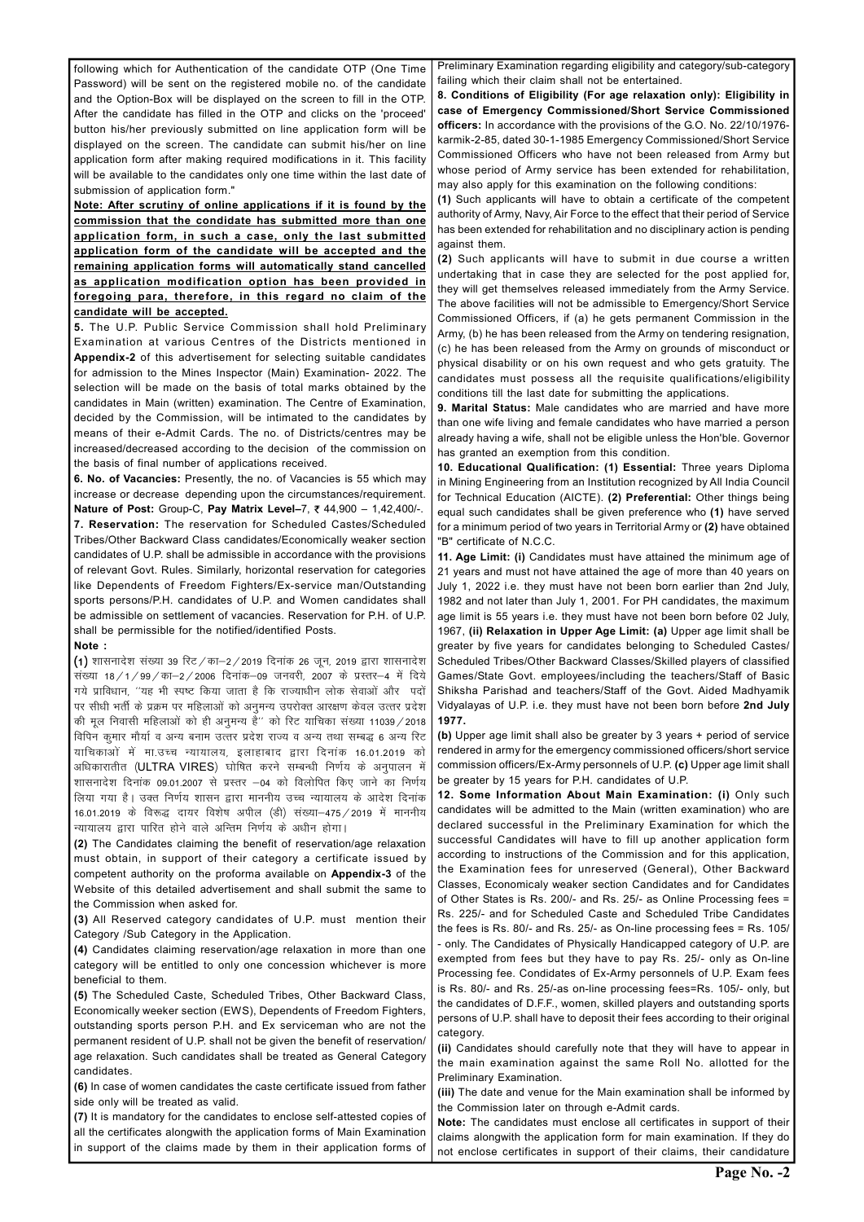following which for Authentication of the candidate OTP (One Time Password) will be sent on the registered mobile no. of the candidate and the Option-Box will be displayed on the screen to fill in the OTP. After the candidate has filled in the OTP and clicks on the 'proceed' button his/her previously submitted on line application form will be displayed on the screen. The candidate can submit his/her on line application form after making required modifications in it. This facility will be available to the candidates only one time within the last date of submission of application form."

Note: After scrutiny of online applications if it is found by the commission that the condidate has submitted more than one application form, in such a case, only the last submitted application form of the candidate will be accepted and the remaining application forms will automatically stand cancelled as application modification option has been provided in foregoing para, therefore, in this regard no claim of the candidate will be accepted.

5. The U.P. Public Service Commission shall hold Preliminary Examination at various Centres of the Districts mentioned in Appendix-2 of this advertisement for selecting suitable candidates for admission to the Mines Inspector (Main) Examination- 2022. The selection will be made on the basis of total marks obtained by the candidates in Main (written) examination. The Centre of Examination, decided by the Commission, will be intimated to the candidates by means of their e-Admit Cards. The no. of Districts/centres may be increased/decreased according to the decision of the commission on the basis of final number of applications received.

6. No. of Vacancies: Presently, the no. of Vacancies is 55 which may increase or decrease depending upon the circumstances/requirement. **Nature of Post:** Group-C, Pay Matrix Level-7, ₹44,900 - 1,42,400/-. 7. Reservation: The reservation for Scheduled Castes/Scheduled Tribes/Other Backward Class candidates/Economically weaker section candidates of U.P. shall be admissible in accordance with the provisions of relevant Govt. Rules. Similarly, horizontal reservation for categories like Dependents of Freedom Fighters/Ex-service man/Outstanding sports persons/P.H. candidates of U.P. and Women candidates shall be admissible on settlement of vacancies. Reservation for P.H. of U.P. shall be permissible for the notified/identified Posts.

### Note :

 $\mu$ ) शासनादेश संख्या 39 रिट $\pi/2$  / 2019 दिनांक 26 जून, 2019 द्वारा शासनादेश संख्या 18/1/99/का–2/2006 दिनांक–09 जनवरी, 2007 के प्रस्तर–4 में दिये गये प्राविधान, ''यह भी स्पष्ट किया जाता है कि राज्याधीन लोक सेवाओं और पदों पर सीधी भर्ती के प्रक्रम पर महिलाओं को अनुमन्य उपरोक्त आरक्षण केवल उत्तर प्रदेश की मूल निवासी महिलाओं को ही अनुमन्य है'' को रिट याचिका संख्या 11039 / 2018 विपिन कुमार मौर्या व अन्य बनाम उत्त्तर प्रदेश राज्य व अन्य तथा सम्बद्ध 6 अन्य रिट याचिकाओं में मा.उच्च न्यायालय, इलाहाबाद द्वारा दिनांक 16.01.2019 को अधिकारातीत (ULTRA VIRES) घोषित करने सम्बन्धी निर्णय के अनुपालन में शासनादेश दिनांक 09.01.2007 से प्रस्तर –04 को विलोपित किए जाने का निर्णय लिया गया है। उक्त निर्णय शासन द्वारा माननीय उच्च न्यायालय के आदेश दिनांक 16.01.2019 के विरूद्ध दायर विशेष अपील (डी) संख्या-475 / 2019 में माननीय न्यायालय द्वारा पारित होने वाले अन्तिम निर्णय के अधीन होगा।

(2) The Candidates claiming the benefit of reservation/age relaxation must obtain, in support of their category a certificate issued by competent authority on the proforma available on Appendix-3 of the Website of this detailed advertisement and shall submit the same to the Commission when asked for.

(3) All Reserved category candidates of U.P. must mention their

11. Age Limit: (i) Candidates must have attained the minimum age of 21 years and must not have attained the age of more than 40 years on July 1, 2022 i.e. they must have not been born earlier than 2nd July, 1982 and not later than July 1, 2001. For PH candidates, the maximum age limit is 55 years i.e. they must have not been born before 02 July, 1967, (ii) Relaxation in Upper Age Limit: (a) Upper age limit shall be greater by five years for candidates belonging to Scheduled Castes/ Scheduled Tribes/Other Backward Classes/Skilled players of classified Games/State Govt. employees/including the teachers/Staff of Basic Shiksha Parishad and teachers/Staff of the Govt. Aided Madhyamik Vidyalayas of U.P. i.e. they must have not been born before 2nd July 1977.

Category /Sub Category in the Application.

(4) Candidates claiming reservation/age relaxation in more than one category will be entitled to only one concession whichever is more beneficial to them.

(5) The Scheduled Caste, Scheduled Tribes, Other Backward Class, Economically weeker section (EWS), Dependents of Freedom Fighters, outstanding sports person P.H. and Ex serviceman who are not the permanent resident of U.P. shall not be given the benefit of reservation/ age relaxation. Such candidates shall be treated as General Category candidates.

(6) In case of women candidates the caste certificate issued from father side only will be treated as valid.

(7) It is mandatory for the candidates to enclose self-attested copies of all the certificates alongwith the application forms of Main Examination in support of the claims made by them in their application forms of

Preliminary Examination regarding eligibility and category/sub-category failing which their claim shall not be entertained.

8. Conditions of Eligibility (For age relaxation only): Eligibility in case of Emergency Commissioned/Short Service Commissioned officers: In accordance with the provisions of the G.O. No. 22/10/1976 karmik-2-85, dated 30-1-1985 Emergency Commissioned/Short Service Commissioned Officers who have not been released from Army but whose period of Army service has been extended for rehabilitation, may also apply for this examination on the following conditions:

(1) Such applicants will have to obtain a certificate of the competent authority of Army, Navy, Air Force to the effect that their period of Service has been extended for rehabilitation and no disciplinary action is pending against them.

(2) Such applicants will have to submit in due course a written undertaking that in case they are selected for the post applied for, they will get themselves released immediately from the Army Service. The above facilities will not be admissible to Emergency/Short Service Commissioned Officers, if (a) he gets permanent Commission in the Army, (b) he has been released from the Army on tendering resignation, (c) he has been released from the Army on grounds of misconduct or physical disability or on his own request and who gets gratuity. The candidates must possess all the requisite qualifications/eligibility conditions till the last date for submitting the applications.

9. Marital Status: Male candidates who are married and have more than one wife living and female candidates who have married a person already having a wife, shall not be eligible unless the Hon'ble. Governor has granted an exemption from this condition.

10. Educational Qualification: (1) Essential: Three years Diploma in Mining Engineering from an Institution recognized by All India Council for Technical Education (AICTE). (2) Preferential: Other things being equal such candidates shall be given preference who (1) have served for a minimum period of two years in Territorial Army or (2) have obtained "B" certificate of N.C.C.

(b) Upper age limit shall also be greater by 3 years + period of service rendered in army for the emergency commissioned officers/short service commission officers/Ex-Army personnels of U.P. (c) Upper age limit shall be greater by 15 years for P.H. candidates of U.P.

12. Some Information About Main Examination: (i) Only such candidates will be admitted to the Main (written examination) who are declared successful in the Preliminary Examination for which the successful Candidates will have to fill up another application form according to instructions of the Commission and for this application, the Examination fees for unreserved (General), Other Backward Classes, Economicaly weaker section Candidates and for Candidates of Other States is Rs. 200/- and Rs. 25/- as Online Processing fees = Rs. 225/- and for Scheduled Caste and Scheduled Tribe Candidates the fees is Rs. 80/- and Rs. 25/- as On-line processing fees = Rs. 105/ - only. The Candidates of Physically Handicapped category of U.P. are exempted from fees but they have to pay Rs. 25/- only as On-line Processing fee. Condidates of Ex-Army personnels of U.P. Exam fees is Rs. 80/- and Rs. 25/-as on-line processing fees=Rs. 105/- only, but the candidates of D.F.F., women, skilled players and outstanding sports persons of U.P. shall have to deposit their fees according to their original category.

(ii) Candidates should carefully note that they will have to appear in the main examination against the same Roll No. allotted for the Preliminary Examination.

(iii) The date and venue for the Main examination shall be informed by the Commission later on through e-Admit cards.

Note: The candidates must enclose all certificates in support of their claims alongwith the application form for main examination. If they do not enclose certificates in support of their claims, their candidature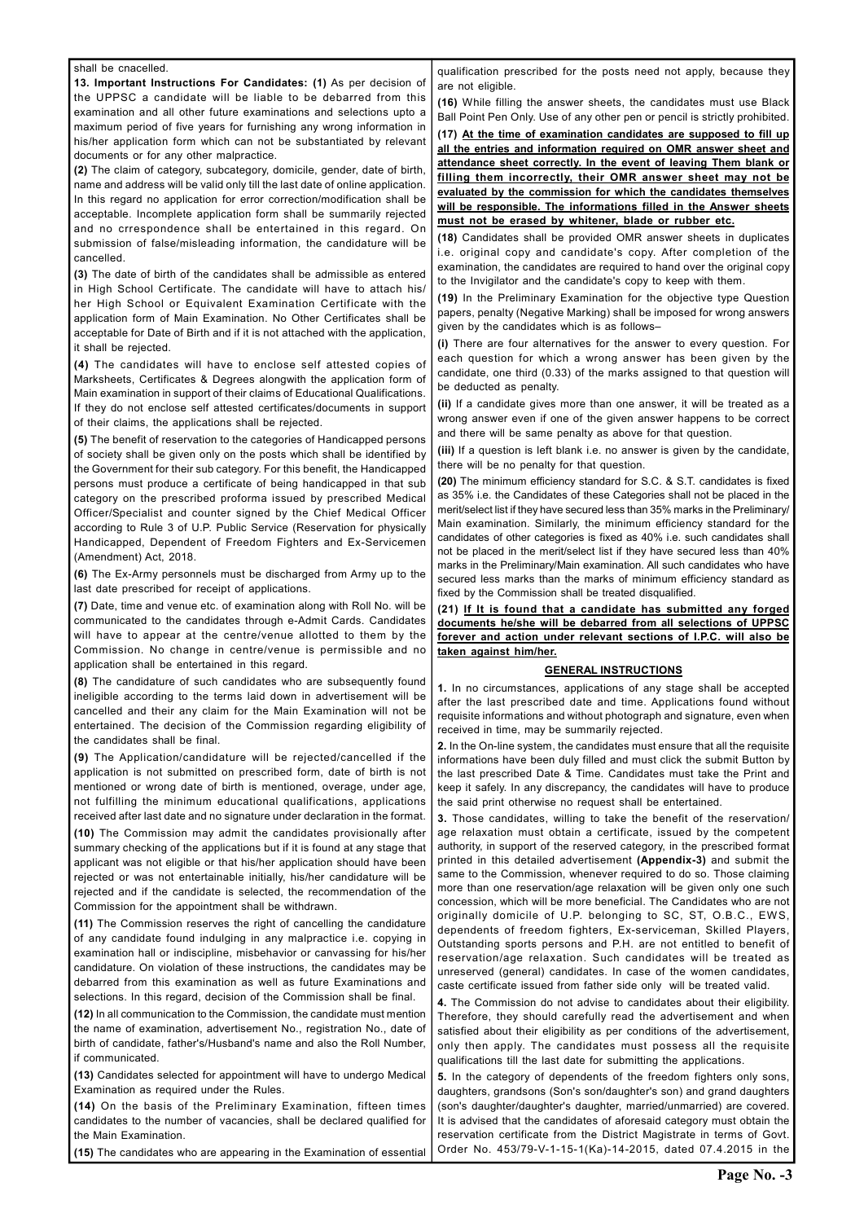#### shall be cnacelled.

13. Important Instructions For Candidates: (1) As per decision of the UPPSC a candidate will be liable to be debarred from this examination and all other future examinations and selections upto a maximum period of five years for furnishing any wrong information in his/her application form which can not be substantiated by relevant documents or for any other malpractice.

(2) The claim of category, subcategory, domicile, gender, date of birth, name and address will be valid only till the last date of online application. In this regard no application for error correction/modification shall be acceptable. Incomplete application form shall be summarily rejected and no crrespondence shall be entertained in this regard. On submission of false/misleading information, the candidature will be cancelled.

(3) The date of birth of the candidates shall be admissible as entered in High School Certificate. The candidate will have to attach his/ her High School or Equivalent Examination Certificate with the application form of Main Examination. No Other Certificates shall be acceptable for Date of Birth and if it is not attached with the application, it shall be rejected.

(4) The candidates will have to enclose self attested copies of Marksheets, Certificates & Degrees alongwith the application form of Main examination in support of their claims of Educational Qualifications. If they do not enclose self attested certificates/documents in support of their claims, the applications shall be rejected.

(5) The benefit of reservation to the categories of Handicapped persons of society shall be given only on the posts which shall be identified by the Government for their sub category. For this benefit, the Handicapped persons must produce a certificate of being handicapped in that sub category on the prescribed proforma issued by prescribed Medical Officer/Specialist and counter signed by the Chief Medical Officer according to Rule 3 of U.P. Public Service (Reservation for physically Handicapped, Dependent of Freedom Fighters and Ex-Servicemen (Amendment) Act, 2018.

11) The Commission reserves the right of cancelling the candidature of any candidate found indulging in any malpractice i.e. copying in examination hall or indiscipline, misbehavior or canvassing for his/her candidature. On violation of these instructions, the candidates may be debarred from this examination as well as future Examinations and selections. In this regard, decision of the Commission shall be final. (12) In all communication to the Commission, the candidate must mention the name of examination, advertisement No., registration No., date of birth of candidate, father's/Husband's name and also the Roll Number, if communicated.

(6) The Ex-Army personnels must be discharged from Army up to the last date prescribed for receipt of applications.

(7) Date, time and venue etc. of examination along with Roll No. will be communicated to the candidates through e-Admit Cards. Candidates will have to appear at the centre/venue allotted to them by the Commission. No change in centre/venue is permissible and no application shall be entertained in this regard.

(8) The candidature of such candidates who are subsequently found ineligible according to the terms laid down in advertisement will be cancelled and their any claim for the Main Examination will not be entertained. The decision of the Commission regarding eligibility of the candidates shall be final.

(9) The Application/candidature will be rejected/cancelled if the application is not submitted on prescribed form, date of birth is not mentioned or wrong date of birth is mentioned, overage, under age, not fulfilling the minimum educational qualifications, applications received after last date and no signature under declaration in the format.

(10) The Commission may admit the candidates provisionally after summary checking of the applications but if it is found at any stage that applicant was not eligible or that his/her application should have been rejected or was not entertainable initially, his/her candidature will be rejected and if the candidate is selected, the recommendation of the Commission for the appointment shall be withdrawn.

(21) If It is found that a candidate has submitted any forged documents he/she will be debarred from all selections of UPPSC forever and action under relevant sections of I.P.C. will also be taken against him/her.

(13) Candidates selected for appointment will have to undergo Medical Examination as required under the Rules.

(14) On the basis of the Preliminary Examination, fifteen times candidates to the number of vacancies, shall be declared qualified for the Main Examination.

(15) The candidates who are appearing in the Examination of essential

qualification prescribed for the posts need not apply, because they are not eligible.

(16) While filling the answer sheets, the candidates must use Black Ball Point Pen Only. Use of any other pen or pencil is strictly prohibited.

(17) At the time of examination candidates are supposed to fill up all the entries and information required on OMR answer sheet and attendance sheet correctly. In the event of leaving Them blank or filling them incorrectly, their OMR answer sheet may not be evaluated by the commission for which the candidates themselves will be responsible. The informations filled in the Answer sheets must not be erased by whitener, blade or rubber etc.

(18) Candidates shall be provided OMR answer sheets in duplicates i.e. original copy and candidate's copy. After completion of the examination, the candidates are required to hand over the original copy to the Invigilator and the candidate's copy to keep with them.

(19) In the Preliminary Examination for the objective type Question papers, penalty (Negative Marking) shall be imposed for wrong answers given by the candidates which is as follows–

(i) There are four alternatives for the answer to every question. For each question for which a wrong answer has been given by the candidate, one third (0.33) of the marks assigned to that question will be deducted as penalty.

(ii) If a candidate gives more than one answer, it will be treated as a wrong answer even if one of the given answer happens to be correct and there will be same penalty as above for that question.

(iii) If a question is left blank i.e. no answer is given by the candidate, there will be no penalty for that question.

(20) The minimum efficiency standard for S.C. & S.T. candidates is fixed as 35% i.e. the Candidates of these Categories shall not be placed in the merit/select list if they have secured less than 35% marks in the Preliminary/ Main examination. Similarly, the minimum efficiency standard for the candidates of other categories is fixed as 40% i.e. such candidates shall not be placed in the merit/select list if they have secured less than 40% marks in the Preliminary/Main examination. All such candidates who have secured less marks than the marks of minimum efficiency standard as fixed by the Commission shall be treated disqualified.

### GENERAL INSTRUCTIONS

1. In no circumstances, applications of any stage shall be accepted after the last prescribed date and time. Applications found without requisite informations and without photograph and signature, even when received in time, may be summarily rejected.

2. In the On-line system, the candidates must ensure that all the requisite informations have been duly filled and must click the submit Button by the last prescribed Date & Time. Candidates must take the Print and keep it safely. In any discrepancy, the candidates will have to produce the said print otherwise no request shall be entertained.

3. Those candidates, willing to take the benefit of the reservation/ age relaxation must obtain a certificate, issued by the competent authority, in support of the reserved category, in the prescribed format printed in this detailed advertisement (Appendix-3) and submit the same to the Commission, whenever required to do so. Those claiming more than one reservation/age relaxation will be given only one such concession, which will be more beneficial. The Candidates who are not originally domicile of U.P. belonging to SC, ST, O.B.C., EWS, dependents of freedom fighters, Ex-serviceman, Skilled Players Outstanding sports persons and P.H. are not entitled to benefit of reservation/age relaxation. Such candidates will be treated as unreserved (general) candidates. In case of the women candidates, caste certificate issued from father side only will be treated valid.

4. The Commission do not advise to candidates about their eligibility. Therefore, they should carefully read the advertisement and when satisfied about their eligibility as per conditions of the advertisement, only then apply. The candidates must possess all the requisite qualifications till the last date for submitting the applications.

5. In the category of dependents of the freedom fighters only sons, daughters, grandsons (Son's son/daughter's son) and grand daughters (son's daughter/daughter's daughter, married/unmarried) are covered. It is advised that the candidates of aforesaid category must obtain the reservation certificate from the District Magistrate in terms of Govt. Order No. 453/79-V-1-15-1(Ka)-14-2015, dated 07.4.2015 in the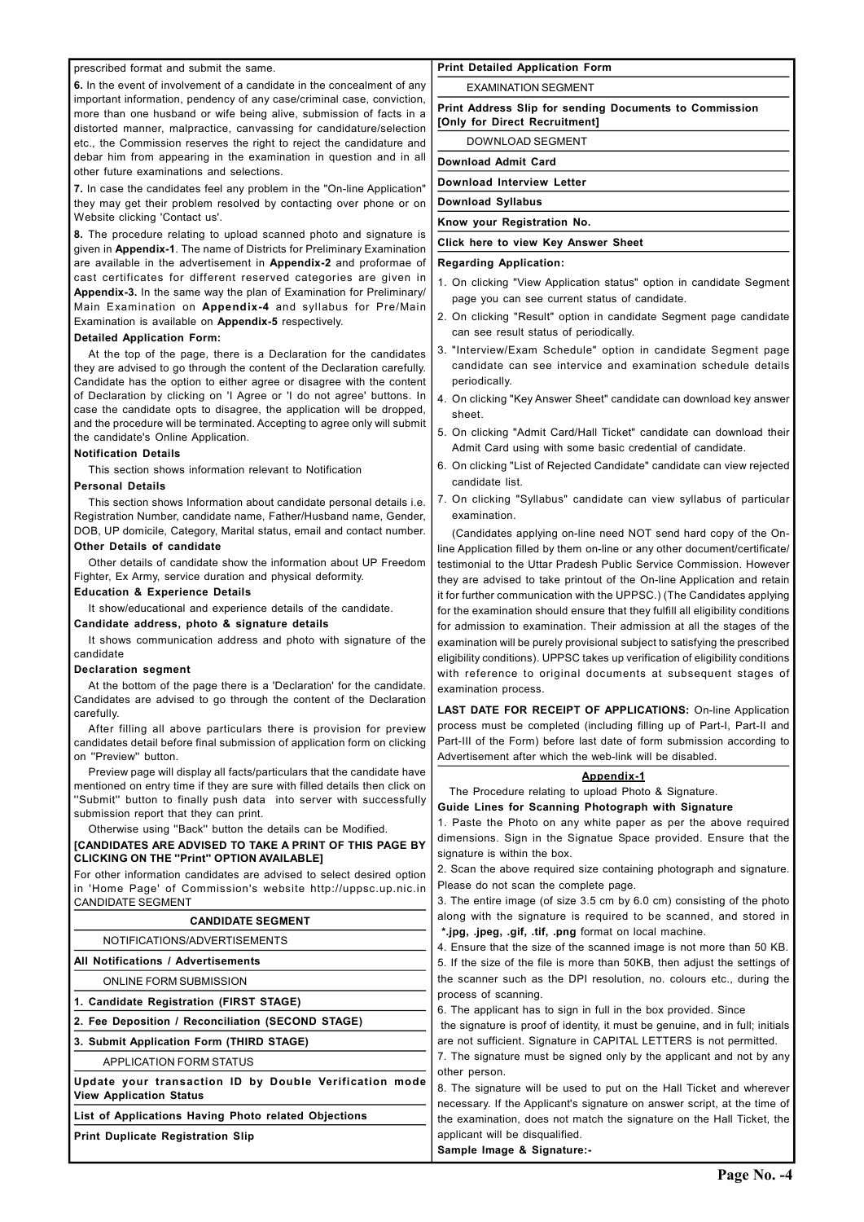### prescribed format and submit the same.

6. In the event of involvement of a candidate in the concealment of any important information, pendency of any case/criminal case, conviction, more than one husband or wife being alive, submission of facts in a distorted manner, malpractice, canvassing for candidature/selection etc., the Commission reserves the right to reject the candidature and debar him from appearing in the examination in question and in all other future examinations and selections.

7. In case the candidates feel any problem in the "On-line Application" they may get their problem resolved by contacting over phone or on Website clicking 'Contact us'.

8. The procedure relating to upload scanned photo and signature is given in Appendix-1. The name of Districts for Preliminary Examination are available in the advertisement in Appendix-2 and proformae of cast certificates for different reserved categories are given in Appendix-3. In the same way the plan of Examination for Preliminary/ Main Examination on Appendix-4 and syllabus for Pre/Main Examination is available on Appendix-5 respectively.

#### Detailed Application Form:

At the top of the page, there is a Declaration for the candidates they are advised to go through the content of the Declaration carefully. Candidate has the option to either agree or disagree with the content of Declaration by clicking on 'I Agree or 'I do not agree' buttons. In case the candidate opts to disagree, the application will be dropped, and the procedure will be terminated. Accepting to agree only will submit the candidate's Online Application.

#### Notification Details

This section shows information relevant to Notification

### Personal Details

This section shows Information about candidate personal details i.e. Registration Number, candidate name, Father/Husband name, Gender, DOB, UP domicile, Category, Marital status, email and contact number.

# Other Details of candidate

Other details of candidate show the information about UP Freedom Fighter, Ex Army, service duration and physical deformity.

### Education & Experience Details

It show/educational and experience details of the candidate.

### Candidate address, photo & signature details

It shows communication address and photo with signature of the candidate

### Declaration segment

At the bottom of the page there is a 'Declaration' for the candidate. Candidates are advised to go through the content of the Declaration carefully.

After filling all above particulars there is provision for preview candidates detail before final submission of application form on clicking on ''Preview'' button.

Preview page will display all facts/particulars that the candidate have mentioned on entry time if they are sure with filled details then click on ''Submit'' button to finally push data into server with successfully submission report that they can print.

Otherwise using ''Back'' button the details can be Modified.

## [CANDIDATES ARE ADVISED TO TAKE A PRINT OF THIS PAGE BY CLICKING ON THE ''Print'' OPTION AVAILABLE]

3. The entire image (of size 3.5 cm by 6.0 cm) consisting of the photo along with the signature is required to be scanned, and stored in

For other information candidates are advised to select desired option in 'Home Page' of Commission's website http://uppsc.up.nic.in CANDIDATE SEGMENT

#### CANDIDATE SEGMENT

#### Print Detailed Application Form

#### EXAMINATION SEGMENT

Print Address Slip for sending Documents to Commission [Only for Direct Recruitment]

DOWNLOAD SEGMENT

Download Admit Card

### Download Interview Letter

Download Syllabus

Know your Registration No.

### Click here to view Key Answer Sheet

#### Regarding Application:

- 1. On clicking "View Application status" option in candidate Segment page you can see current status of candidate.
- 2. On clicking "Result" option in candidate Segment page candidate can see result status of periodically.
- 3. "Interview/Exam Schedule" option in candidate Segment page candidate can see intervice and examination schedule details periodically.
- 4. On clicking "Key Answer Sheet" candidate can download key answer sheet.
- 5. On clicking "Admit Card/Hall Ticket" candidate can download their Admit Card using with some basic credential of candidate.
- 6. On clicking "List of Rejected Candidate" candidate can view rejected candidate list.
- 7. On clicking "Syllabus" candidate can view syllabus of particular examination.

(Candidates applying on-line need NOT send hard copy of the Online Application filled by them on-line or any other document/certificate/ testimonial to the Uttar Pradesh Public Service Commission. However they are advised to take printout of the On-line Application and retain it for further communication with the UPPSC.) (The Candidates applying for the examination should ensure that they fulfill all eligibility conditions for admission to examination. Their admission at all the stages of the examination will be purely provisional subject to satisfying the prescribed eligibility conditions). UPPSC takes up verification of eligibility conditions with reference to original documents at subsequent stages of examination process.

| VANDIDAI L ULUMLN                                      |                                                                                                                                 |  |  |  |  |
|--------------------------------------------------------|---------------------------------------------------------------------------------------------------------------------------------|--|--|--|--|
| NOTIFICATIONS/ADVERTISEMENTS                           | *.jpg, .jpeg, .gif, .tif, .png format on local machine.<br>4. Ensure that the size of the scanned image is not more than 50 KB. |  |  |  |  |
| All Notifications / Advertisements                     | 5. If the size of the file is more than 50KB, then adjust the settings of                                                       |  |  |  |  |
| <b>ONLINE FORM SUBMISSION</b>                          | the scanner such as the DPI resolution, no. colours etc., during the                                                            |  |  |  |  |
| 1. Candidate Registration (FIRST STAGE)                | process of scanning.                                                                                                            |  |  |  |  |
|                                                        | 6. The applicant has to sign in full in the box provided. Since                                                                 |  |  |  |  |
| 2. Fee Deposition / Reconciliation (SECOND STAGE)      | the signature is proof of identity, it must be genuine, and in full; initials                                                   |  |  |  |  |
| 3. Submit Application Form (THIRD STAGE)               | are not sufficient. Signature in CAPITAL LETTERS is not permitted.                                                              |  |  |  |  |
| <b>APPLICATION FORM STATUS</b>                         | 7. The signature must be signed only by the applicant and not by any                                                            |  |  |  |  |
| Update your transaction ID by Double Verification mode | other person.                                                                                                                   |  |  |  |  |
| <b>View Application Status</b>                         | 8. The signature will be used to put on the Hall Ticket and wherever                                                            |  |  |  |  |
|                                                        | necessary. If the Applicant's signature on answer script, at the time of                                                        |  |  |  |  |
| List of Applications Having Photo related Objections   | the examination, does not match the signature on the Hall Ticket, the                                                           |  |  |  |  |
| <b>Print Duplicate Registration Slip</b>               | applicant will be disqualified.                                                                                                 |  |  |  |  |
|                                                        | Sample Image & Signature:-                                                                                                      |  |  |  |  |

LAST DATE FOR RECEIPT OF APPLICATIONS: On-line Application process must be completed (including filling up of Part-I, Part-II and Part-III of the Form) before last date of form submission according to Advertisement after which the web-link will be disabled.

### Appendix-1

The Procedure relating to upload Photo & Signature.

Guide Lines for Scanning Photograph with Signature

1. Paste the Photo on any white paper as per the above required dimensions. Sign in the Signatue Space provided. Ensure that the signature is within the box.

2. Scan the above required size containing photograph and signature. Please do not scan the complete page.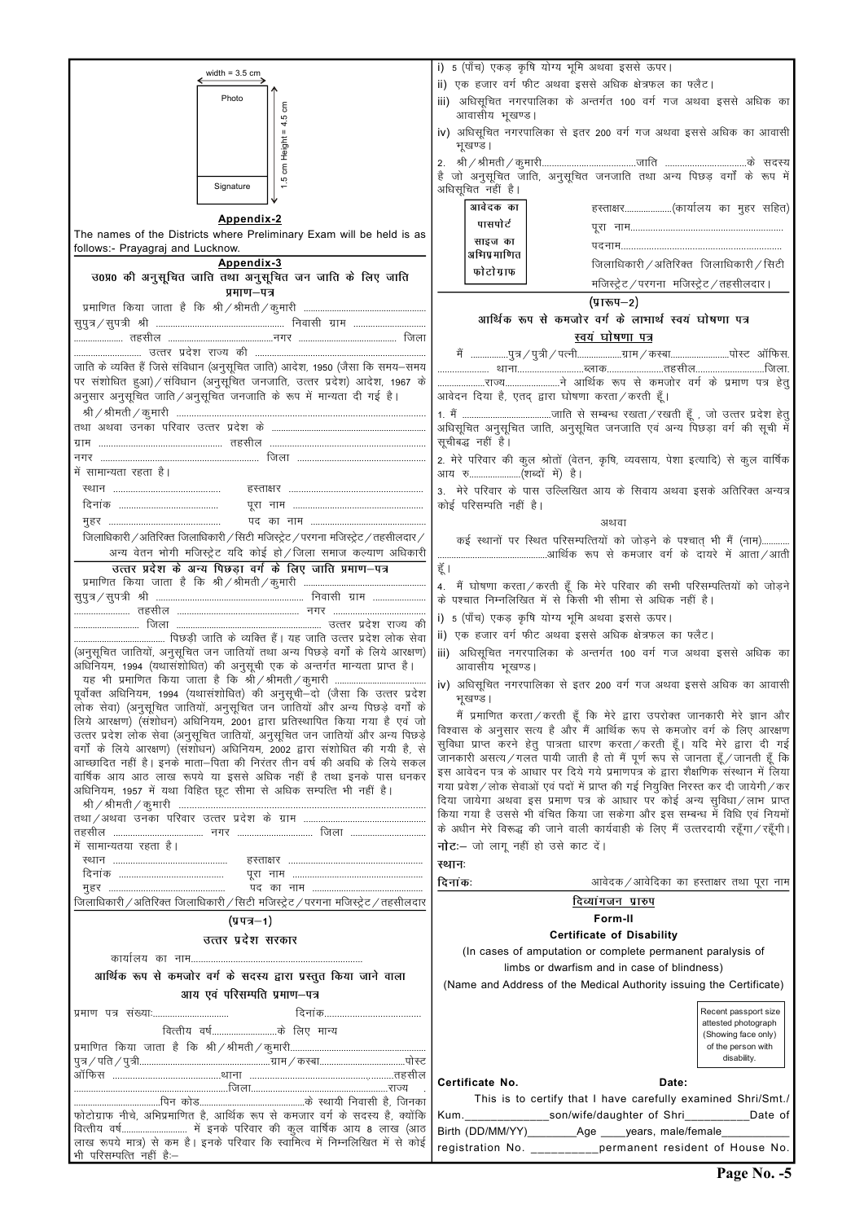| width = $3.5$ cm                                                                                                                                          | i) 5 (पाँच) एकड़ कृषि योग्य भूमि अथवा इससे ऊपर।                                            |
|-----------------------------------------------------------------------------------------------------------------------------------------------------------|--------------------------------------------------------------------------------------------|
|                                                                                                                                                           | ii) एक हजार वर्ग फीट अथवा इससे अधिक क्षेत्रफल का फ्लैट।                                    |
| Photo<br>ξ                                                                                                                                                | iii) अधिसूचित नगरपालिका के अन्तर्गत 100 वर्ग गज अथवा इससे अधिक का<br>आवासीय भूखण्ड।        |
| 4.5<br>$\mathbf H$                                                                                                                                        | iv) अधिसूचित नगरपालिका से इतर 200 वर्ग गज अथवा इससे अधिक का आवासी                          |
|                                                                                                                                                           | भूखण्ड ।                                                                                   |
| cm Height                                                                                                                                                 |                                                                                            |
| Ю<br>Signature                                                                                                                                            | है जो अनुसूचित जाति, अनुसूचित जनजाति तथा अन्य पिछड़ वर्गों के रूप में<br>अधिसूचित नहीं है। |
|                                                                                                                                                           | आवेदक का<br>हस्ताक्षर(कार्यालय का मुहर सहित)                                               |
| Appendix-2                                                                                                                                                | पासपोर्ट                                                                                   |
| The names of the Districts where Preliminary Exam will be held is as                                                                                      | साइज का                                                                                    |
| follows:- Prayagraj and Lucknow.                                                                                                                          | अभिप्रमाणित                                                                                |
| Appendix-3                                                                                                                                                | जिलाधिकारी / अतिरिक्त जिलाधिकारी / सिटी                                                    |
| उ0प्र0 की अनुसूचित जाति तथा अनुसूचित जन जाति के लिए जाति                                                                                                  | फोटोग्राफ<br>मजिस्ट्रेट / परगना मजिस्ट्रेट / तहसीलदार।                                     |
| प्रमाण-पत्र                                                                                                                                               |                                                                                            |
|                                                                                                                                                           | (प्रारूप–2)                                                                                |
|                                                                                                                                                           | आर्थिक रूप से कमजोर वर्ग के लाभार्थ स्वयं घोषणा पत्र                                       |
|                                                                                                                                                           | स्वयं घोषणा पत्र                                                                           |
|                                                                                                                                                           |                                                                                            |
| जाति के व्यक्ति हैं जिसे संविधान (अनुसूचित जाति) आदेश, 1950 (जैसा कि समय–समय                                                                              | मैं  पुत्र / पुत्री / पत्नीग्राम / कस्बापोस्ट  ऑफिस.                                       |
| पर संशोधित हुआ) / संविधान (अनुसूचित जनजाति, उत्तर प्रदेश) आदेश, 1967 के                                                                                   |                                                                                            |
|                                                                                                                                                           |                                                                                            |
| अनुसार अनुसूचित जाति / अनुसूचित जनजाति के रूप में मान्यता दी गई है।                                                                                       | आवेदन दिया है, एतद् द्वारा घोषणा करता / करती हूँ।                                          |
|                                                                                                                                                           | अधिसूचित अनुसूचित जाति, अनुसूचित जनजाति एवं अन्य पिछड़ा वर्ग की सूची में                   |
|                                                                                                                                                           | सूचीबद्ध नहीं है।                                                                          |
|                                                                                                                                                           | 2. मेरे परिवार की कुल श्रोतों (वेतन, कृषि, व्यवसाय, पेशा इत्यादि) से कुल वार्षिक           |
| में सामान्यता रहता है।                                                                                                                                    | आय रु(शब्दों में) है।                                                                      |
|                                                                                                                                                           |                                                                                            |
|                                                                                                                                                           | 3. मेरे परिवार के पास उल्लिखित आय के सिवाय अथवा इसके अतिरिक्त अन्यत्र                      |
|                                                                                                                                                           | कोई परिसम्पति नहीं है।                                                                     |
|                                                                                                                                                           | अथवा                                                                                       |
| जिलाधिकारी /अतिरिक्त जिलाधिकारी / सिटी मजिस्ट्रेट / परगना मजिस्ट्रेट / तहसीलदार /                                                                         | कई स्थानों पर स्थित परिसम्पत्तियों को जोड़ने के पश्चात् भी मैं (नाम)                       |
| अन्य वेतन भोगी मजिस्ट्रेट यदि कोई हो / जिला समाज कल्याण अधिकारी                                                                                           |                                                                                            |
| उत्तर प्रदेश के अन्य पिछडा वर्ग के लिए जाति प्रमाण–पत्र                                                                                                   | हूँ ।                                                                                      |
|                                                                                                                                                           | 4. मैं घोषणा करता/करती हूँ कि मेरे परिवार की सभी परिसम्पत्तियों को जोड़ने                  |
|                                                                                                                                                           | के पश्चात निम्नलिखित में से किसी भी सीमा से अधिक नहीं है।                                  |
|                                                                                                                                                           | i) 5 (पाँच) एकड़ कृषि योग्य भूमि अथवा इससे ऊपर।                                            |
|                                                                                                                                                           |                                                                                            |
|                                                                                                                                                           | ii) एक हजार वर्ग फीट अथवा इससे अधिक क्षेत्रफल का फ्लैट।                                    |
| (अनुसूचित जातियों, अनुसूचित जन जातियों तथा अन्य पिछड़े वर्गों के लिये आरक्षण)<br>अधिनियम, 1994 (यथासंशोधित) की अनुसूची एक के अन्तर्गत मान्यता प्राप्त है। | अधिसूचित नगरपालिका के अन्तर्गत 100 वर्ग गज अथवा इससे अधिक का<br>iii)<br>आवासीय भूखण्ड।     |
| पूर्वोक्त अधिनियम, 1994 (यथासंशोधित) की अनुसूची—दो (जैसा कि उत्तर प्रदेश                                                                                  | iv) अधिसूचित नगरपालिका से इतर 200 वर्ग गज अथवा इससे अधिक का आवासी                          |
| लोक सेवा) (अनुसूचित जातियों, अनुसूचित जन जातियों और अन्य पिछड़े वर्गों के                                                                                 | भूखण्ड।                                                                                    |
| लिये आरक्षण) (संशोधन) अधिनियम, 2001 द्वारा प्रतिस्थापित किया गया है एवं जो                                                                                | मैं प्रमाणित करता/करती हूँ कि मेरे द्वारा उपरोक्त जानकारी मेरे ज्ञान और                    |
| उत्तर प्रदेश लोक सेवा (अनुसूचित जातियों, अनुसूचित जन जातियों और अन्य पिछड़े                                                                               | विश्वास के अनुसार सत्य है और मैं आर्थिक रूप से कमजोर वर्ग के लिए आरक्षण                    |
| वर्गों के लिये आरक्षण) (संशोधन) अधिनियम, 2002 द्वारा संशोधित की गयी है, से                                                                                | सुविधा प्राप्त करने हेतु पात्रता धारण करता / करती हूँ। यदि मेरे द्वारा दी गई               |
| आच्छादित नहीं है। इनके माता—पिता की निरंतर तीन वर्ष की अवधि के लिये सकल                                                                                   | जानकारी असत्य/गलत पायी जाती है तो मैं पूर्ण रूप से जानता हूँ/जानती हूँ कि                  |
| वार्षिक आय आठ लाख रूपये या इससे अधिक नहीं है तथा इनके पास धनकर                                                                                            | इस आवेदन पत्र के आधार पर दिये गये प्रमाणपत्र के द्वारा शैक्षणिक संस्थान में लिया           |
| अधिनियम, 1957 में यथा विहित छूट सीमा से अधिक सम्पत्ति भी नहीं है।                                                                                         | गया प्रवेश / लोक सेवाओं एवं पदों में प्राप्त की गई नियुक्ति निरस्त कर दी जायेगी / कर       |
|                                                                                                                                                           | दिया जायेगा अथवा इस प्रमाण पत्र के आधार पर कोई अन्य सुविधा/लाभ प्राप्त                     |
|                                                                                                                                                           | किया गया है उससे भी वंचित किया जा सकेगा और इस सम्बन्ध में विधि एवं नियमों                  |
|                                                                                                                                                           | के अधीन मेरे विरूद्ध की जाने वाली कार्यवाही के लिए मैं उत्तरदायी रहूँगा/रहूँगी।            |
| में सामान्यतया रहता है।                                                                                                                                   | नोट:— जो लागू नहीं हो उसे काट दें।                                                         |
|                                                                                                                                                           | स्थानः                                                                                     |
|                                                                                                                                                           |                                                                                            |
|                                                                                                                                                           | दिनांकः<br>आवेदक/आवेदिका का हस्ताक्षर तथा पूरा नाम                                         |
| जिलाधिकारी / अतिरिक्त जिलाधिकारी / सिटी मजिस्ट्रेट / परगना मजिस्ट्रेट / तहसीलदार                                                                          | दिव्यांगजन प्रारुप                                                                         |
| (प्रपत्र—1)                                                                                                                                               | Form-II                                                                                    |

| \ <i>A</i> \ 1 \ I \ I \<br>उत्तर प्रदेश सरकार<br>कायोलय<br>आर्थिक रूप से कमजोर वर्ग के सदस्य द्वारा प्रस्तुत किया जाने वाला<br>आय एवं परिसम्पति प्रमाण-पत्र | <b>Certificate of Disability</b><br>(In cases of amputation or complete permanent paralysis of<br>limbs or dwarfism and in case of blindness)<br>(Name and Address of the Medical Authority issuing the Certificate) |
|--------------------------------------------------------------------------------------------------------------------------------------------------------------|----------------------------------------------------------------------------------------------------------------------------------------------------------------------------------------------------------------------|
| दिनांक<br>प्रमाण पत्र संख्याः<br>वित्तीय वर्षके लिए मान्य                                                                                                    | Recent passport size<br>attested photograph<br>(Showing face only)<br>of the person with<br>disability.                                                                                                              |
|                                                                                                                                                              | Certificate No.<br>Date:                                                                                                                                                                                             |
|                                                                                                                                                              | This is to certify that I have carefully examined Shri/Smt./                                                                                                                                                         |
| फोटोग्राफ नीचे, अभिप्रमाणित है, आर्थिक रूप से कमजार वर्ग के सदस्य है, क्योंकि                                                                                |                                                                                                                                                                                                                      |
|                                                                                                                                                              |                                                                                                                                                                                                                      |
| लाख रूपये मात्र) से कम है। इनके परिवार कि स्वामित्व में निम्नलिखित में से कोई  <br>भी परिसम्पत्ति नहीं है:-                                                  | registration No. __________permanent resident of House No.                                                                                                                                                           |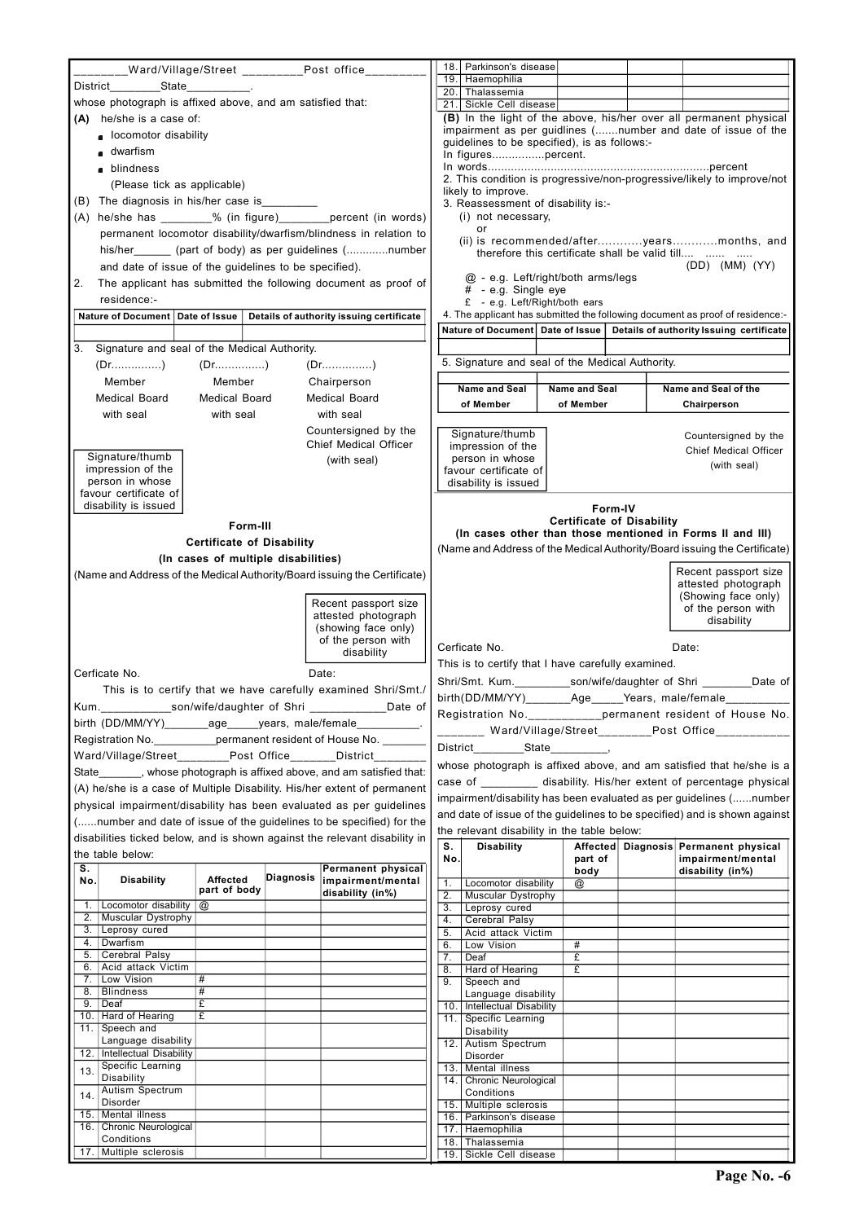| 19. Haemophilia<br>20. Thalassemia<br>whose photograph is affixed above, and am satisfied that:<br>21. Sickle Cell disease<br>(A) he/she is a case of:<br>■ locomotor disability<br>guidelines to be specified), is as follows:-<br>■ dwarfism<br>In figurespercent.<br>blindness<br>(Please tick as applicable)<br>likely to improve.<br>(B) The diagnosis in his/her case is<br>3. Reassessment of disability is:-<br>(A) he/she has ________% (in figure)_________percent (in words)<br>(i) not necessary,<br>or<br>permanent locomotor disability/dwarfism/blindness in relation to<br>his/her (part of body) as per guidelines (number<br>therefore this certificate shall be valid till<br>and date of issue of the guidelines to be specified).<br>@ - e.g. Left/right/both arms/legs<br>The applicant has submitted the following document as proof of<br>2.<br># - e.g. Single eye<br>residence:-<br>£ - e.g. Left/Right/both ears<br>Nature of Document   Date of Issue<br>Details of authority issuing certificate | (B) In the light of the above, his/her over all permanent physical<br>impairment as per guidlines (number and date of issue of the<br>2. This condition is progressive/non-progressive/likely to improve/not<br>(ii) is recommended/afteryearsmonths, and<br>$(DD)$ $(MM)$ $(YY)$                                                                                                                                                             |
|-------------------------------------------------------------------------------------------------------------------------------------------------------------------------------------------------------------------------------------------------------------------------------------------------------------------------------------------------------------------------------------------------------------------------------------------------------------------------------------------------------------------------------------------------------------------------------------------------------------------------------------------------------------------------------------------------------------------------------------------------------------------------------------------------------------------------------------------------------------------------------------------------------------------------------------------------------------------------------------------------------------------------------|-----------------------------------------------------------------------------------------------------------------------------------------------------------------------------------------------------------------------------------------------------------------------------------------------------------------------------------------------------------------------------------------------------------------------------------------------|
|                                                                                                                                                                                                                                                                                                                                                                                                                                                                                                                                                                                                                                                                                                                                                                                                                                                                                                                                                                                                                               |                                                                                                                                                                                                                                                                                                                                                                                                                                               |
|                                                                                                                                                                                                                                                                                                                                                                                                                                                                                                                                                                                                                                                                                                                                                                                                                                                                                                                                                                                                                               |                                                                                                                                                                                                                                                                                                                                                                                                                                               |
|                                                                                                                                                                                                                                                                                                                                                                                                                                                                                                                                                                                                                                                                                                                                                                                                                                                                                                                                                                                                                               |                                                                                                                                                                                                                                                                                                                                                                                                                                               |
|                                                                                                                                                                                                                                                                                                                                                                                                                                                                                                                                                                                                                                                                                                                                                                                                                                                                                                                                                                                                                               |                                                                                                                                                                                                                                                                                                                                                                                                                                               |
|                                                                                                                                                                                                                                                                                                                                                                                                                                                                                                                                                                                                                                                                                                                                                                                                                                                                                                                                                                                                                               |                                                                                                                                                                                                                                                                                                                                                                                                                                               |
|                                                                                                                                                                                                                                                                                                                                                                                                                                                                                                                                                                                                                                                                                                                                                                                                                                                                                                                                                                                                                               |                                                                                                                                                                                                                                                                                                                                                                                                                                               |
|                                                                                                                                                                                                                                                                                                                                                                                                                                                                                                                                                                                                                                                                                                                                                                                                                                                                                                                                                                                                                               |                                                                                                                                                                                                                                                                                                                                                                                                                                               |
|                                                                                                                                                                                                                                                                                                                                                                                                                                                                                                                                                                                                                                                                                                                                                                                                                                                                                                                                                                                                                               |                                                                                                                                                                                                                                                                                                                                                                                                                                               |
|                                                                                                                                                                                                                                                                                                                                                                                                                                                                                                                                                                                                                                                                                                                                                                                                                                                                                                                                                                                                                               |                                                                                                                                                                                                                                                                                                                                                                                                                                               |
|                                                                                                                                                                                                                                                                                                                                                                                                                                                                                                                                                                                                                                                                                                                                                                                                                                                                                                                                                                                                                               |                                                                                                                                                                                                                                                                                                                                                                                                                                               |
|                                                                                                                                                                                                                                                                                                                                                                                                                                                                                                                                                                                                                                                                                                                                                                                                                                                                                                                                                                                                                               |                                                                                                                                                                                                                                                                                                                                                                                                                                               |
|                                                                                                                                                                                                                                                                                                                                                                                                                                                                                                                                                                                                                                                                                                                                                                                                                                                                                                                                                                                                                               |                                                                                                                                                                                                                                                                                                                                                                                                                                               |
|                                                                                                                                                                                                                                                                                                                                                                                                                                                                                                                                                                                                                                                                                                                                                                                                                                                                                                                                                                                                                               |                                                                                                                                                                                                                                                                                                                                                                                                                                               |
|                                                                                                                                                                                                                                                                                                                                                                                                                                                                                                                                                                                                                                                                                                                                                                                                                                                                                                                                                                                                                               |                                                                                                                                                                                                                                                                                                                                                                                                                                               |
|                                                                                                                                                                                                                                                                                                                                                                                                                                                                                                                                                                                                                                                                                                                                                                                                                                                                                                                                                                                                                               | 4. The applicant has submitted the following document as proof of residence:-                                                                                                                                                                                                                                                                                                                                                                 |
|                                                                                                                                                                                                                                                                                                                                                                                                                                                                                                                                                                                                                                                                                                                                                                                                                                                                                                                                                                                                                               | Nature of Document   Date of Issue   Details of authority Issuing certificate                                                                                                                                                                                                                                                                                                                                                                 |
| Signature and seal of the Medical Authority.<br>3.                                                                                                                                                                                                                                                                                                                                                                                                                                                                                                                                                                                                                                                                                                                                                                                                                                                                                                                                                                            |                                                                                                                                                                                                                                                                                                                                                                                                                                               |
| $(Dr_{1}, \ldots, c_{n})$ $(Dr_{1}, \ldots, c_{n})$                                                                                                                                                                                                                                                                                                                                                                                                                                                                                                                                                                                                                                                                                                                                                                                                                                                                                                                                                                           |                                                                                                                                                                                                                                                                                                                                                                                                                                               |
| Member<br>Member<br>Chairperson                                                                                                                                                                                                                                                                                                                                                                                                                                                                                                                                                                                                                                                                                                                                                                                                                                                                                                                                                                                               |                                                                                                                                                                                                                                                                                                                                                                                                                                               |
| Name and Seal of the<br>Name and Seal<br>Name and Seal<br>Medical Board<br>Medical Board<br><b>Medical Board</b>                                                                                                                                                                                                                                                                                                                                                                                                                                                                                                                                                                                                                                                                                                                                                                                                                                                                                                              | 5. Signature and seal of the Medical Authority.                                                                                                                                                                                                                                                                                                                                                                                               |
| of Member<br>of Member<br>Chairperson<br>with seal<br>with seal<br>with seal                                                                                                                                                                                                                                                                                                                                                                                                                                                                                                                                                                                                                                                                                                                                                                                                                                                                                                                                                  |                                                                                                                                                                                                                                                                                                                                                                                                                                               |
| Countersigned by the                                                                                                                                                                                                                                                                                                                                                                                                                                                                                                                                                                                                                                                                                                                                                                                                                                                                                                                                                                                                          |                                                                                                                                                                                                                                                                                                                                                                                                                                               |
| <b>Chief Medical Officer</b>                                                                                                                                                                                                                                                                                                                                                                                                                                                                                                                                                                                                                                                                                                                                                                                                                                                                                                                                                                                                  |                                                                                                                                                                                                                                                                                                                                                                                                                                               |
| Signature/thumb<br>person in whose<br>(with seal)                                                                                                                                                                                                                                                                                                                                                                                                                                                                                                                                                                                                                                                                                                                                                                                                                                                                                                                                                                             | Signature/thumb<br>Countersigned by the                                                                                                                                                                                                                                                                                                                                                                                                       |
| impression of the<br>favour certificate of                                                                                                                                                                                                                                                                                                                                                                                                                                                                                                                                                                                                                                                                                                                                                                                                                                                                                                                                                                                    | impression of the<br>Chief Medical Officer                                                                                                                                                                                                                                                                                                                                                                                                    |
| person in whose<br>favour certificate of                                                                                                                                                                                                                                                                                                                                                                                                                                                                                                                                                                                                                                                                                                                                                                                                                                                                                                                                                                                      | (with seal)                                                                                                                                                                                                                                                                                                                                                                                                                                   |
| disability is issued                                                                                                                                                                                                                                                                                                                                                                                                                                                                                                                                                                                                                                                                                                                                                                                                                                                                                                                                                                                                          | disability is issued                                                                                                                                                                                                                                                                                                                                                                                                                          |
|                                                                                                                                                                                                                                                                                                                                                                                                                                                                                                                                                                                                                                                                                                                                                                                                                                                                                                                                                                                                                               |                                                                                                                                                                                                                                                                                                                                                                                                                                               |
| <b>Certificate of Disability</b>                                                                                                                                                                                                                                                                                                                                                                                                                                                                                                                                                                                                                                                                                                                                                                                                                                                                                                                                                                                              | Form-IV                                                                                                                                                                                                                                                                                                                                                                                                                                       |
| Form-III                                                                                                                                                                                                                                                                                                                                                                                                                                                                                                                                                                                                                                                                                                                                                                                                                                                                                                                                                                                                                      | (In cases other than those mentioned in Forms II and III)                                                                                                                                                                                                                                                                                                                                                                                     |
| <b>Certificate of Disability</b>                                                                                                                                                                                                                                                                                                                                                                                                                                                                                                                                                                                                                                                                                                                                                                                                                                                                                                                                                                                              |                                                                                                                                                                                                                                                                                                                                                                                                                                               |
| (In cases of multiple disabilities)                                                                                                                                                                                                                                                                                                                                                                                                                                                                                                                                                                                                                                                                                                                                                                                                                                                                                                                                                                                           | Recent passport size                                                                                                                                                                                                                                                                                                                                                                                                                          |
| (Name and Address of the Medical Authority/Board issuing the Certificate)                                                                                                                                                                                                                                                                                                                                                                                                                                                                                                                                                                                                                                                                                                                                                                                                                                                                                                                                                     | attested photograph                                                                                                                                                                                                                                                                                                                                                                                                                           |
| Recent passport size                                                                                                                                                                                                                                                                                                                                                                                                                                                                                                                                                                                                                                                                                                                                                                                                                                                                                                                                                                                                          | (Showing face only)                                                                                                                                                                                                                                                                                                                                                                                                                           |
| attested photograph<br>disability                                                                                                                                                                                                                                                                                                                                                                                                                                                                                                                                                                                                                                                                                                                                                                                                                                                                                                                                                                                             | of the person with                                                                                                                                                                                                                                                                                                                                                                                                                            |
| (showing face only)                                                                                                                                                                                                                                                                                                                                                                                                                                                                                                                                                                                                                                                                                                                                                                                                                                                                                                                                                                                                           |                                                                                                                                                                                                                                                                                                                                                                                                                                               |
| of the person with<br>Cerficate No.<br>Date:<br>disability                                                                                                                                                                                                                                                                                                                                                                                                                                                                                                                                                                                                                                                                                                                                                                                                                                                                                                                                                                    |                                                                                                                                                                                                                                                                                                                                                                                                                                               |
| This is to certify that I have carefully examined.                                                                                                                                                                                                                                                                                                                                                                                                                                                                                                                                                                                                                                                                                                                                                                                                                                                                                                                                                                            |                                                                                                                                                                                                                                                                                                                                                                                                                                               |
| Cerficate No.<br>Date:                                                                                                                                                                                                                                                                                                                                                                                                                                                                                                                                                                                                                                                                                                                                                                                                                                                                                                                                                                                                        |                                                                                                                                                                                                                                                                                                                                                                                                                                               |
| This is to certify that we have carefully examined Shri/Smt./                                                                                                                                                                                                                                                                                                                                                                                                                                                                                                                                                                                                                                                                                                                                                                                                                                                                                                                                                                 | birth(DD/MM/YY)________Age_____Years, male/female______                                                                                                                                                                                                                                                                                                                                                                                       |
| Kum._____________son/wife/daughter of Shri ______________Date of                                                                                                                                                                                                                                                                                                                                                                                                                                                                                                                                                                                                                                                                                                                                                                                                                                                                                                                                                              |                                                                                                                                                                                                                                                                                                                                                                                                                                               |
| birth (DD/MM/YY)________age_____years, male/female__________.                                                                                                                                                                                                                                                                                                                                                                                                                                                                                                                                                                                                                                                                                                                                                                                                                                                                                                                                                                 | _______ Ward/Village/Street_________Post Office___________                                                                                                                                                                                                                                                                                                                                                                                    |
| Registration No. _____________permanent resident of House No. ________                                                                                                                                                                                                                                                                                                                                                                                                                                                                                                                                                                                                                                                                                                                                                                                                                                                                                                                                                        |                                                                                                                                                                                                                                                                                                                                                                                                                                               |
| Ward/Village/Street Post Office District                                                                                                                                                                                                                                                                                                                                                                                                                                                                                                                                                                                                                                                                                                                                                                                                                                                                                                                                                                                      |                                                                                                                                                                                                                                                                                                                                                                                                                                               |
| State_______, whose photograph is affixed above, and am satisfied that:                                                                                                                                                                                                                                                                                                                                                                                                                                                                                                                                                                                                                                                                                                                                                                                                                                                                                                                                                       |                                                                                                                                                                                                                                                                                                                                                                                                                                               |
| (A) he/she is a case of Multiple Disability. His/her extent of permanent                                                                                                                                                                                                                                                                                                                                                                                                                                                                                                                                                                                                                                                                                                                                                                                                                                                                                                                                                      |                                                                                                                                                                                                                                                                                                                                                                                                                                               |
| physical impairment/disability has been evaluated as per guidelines                                                                                                                                                                                                                                                                                                                                                                                                                                                                                                                                                                                                                                                                                                                                                                                                                                                                                                                                                           | and date of issue of the guidelines to be specified) and is shown against                                                                                                                                                                                                                                                                                                                                                                     |
| (number and date of issue of the guidelines to be specified) for the<br>the relevant disability in the table below:                                                                                                                                                                                                                                                                                                                                                                                                                                                                                                                                                                                                                                                                                                                                                                                                                                                                                                           |                                                                                                                                                                                                                                                                                                                                                                                                                                               |
| disabilities ticked below, and is shown against the relevant disability in<br><b>Disability</b><br>S.                                                                                                                                                                                                                                                                                                                                                                                                                                                                                                                                                                                                                                                                                                                                                                                                                                                                                                                         | Affected Diagnosis Permanent physical                                                                                                                                                                                                                                                                                                                                                                                                         |
| the table below:<br>No.<br>part of                                                                                                                                                                                                                                                                                                                                                                                                                                                                                                                                                                                                                                                                                                                                                                                                                                                                                                                                                                                            | impairment/mental                                                                                                                                                                                                                                                                                                                                                                                                                             |
| $\overline{\mathbf{s}}$ .<br>Permanent physical<br>disability (in%)<br>body<br>Diagnosis<br><b>Affected</b><br>impairment/mental<br><b>Disability</b><br>No.<br>Locomotor disability<br>1.                                                                                                                                                                                                                                                                                                                                                                                                                                                                                                                                                                                                                                                                                                                                                                                                                                    | (Name and Address of the Medical Authority/Board issuing the Certificate)<br>Shri/Smt. Kum. _________________son/wife/daughter_of_Shri ____________Date_of<br>Registration No.___________permanent resident of House No.<br>whose photograph is affixed above, and am satisfied that he/she is a<br>case of _________ disability. His/her extent of percentage physical<br>impairment/disability has been evaluated as per guidelines (number |
| @<br>part of body<br>disability (in%)<br>Muscular Dystrophy<br>2.<br>1. Locomotor disability $\omega$<br>3.<br>Leprosy cured                                                                                                                                                                                                                                                                                                                                                                                                                                                                                                                                                                                                                                                                                                                                                                                                                                                                                                  |                                                                                                                                                                                                                                                                                                                                                                                                                                               |

| $\overline{3}$ . | Leprosy cured           |   |  | $\overline{5}$ . | Acid attack Victim      |   |  |
|------------------|-------------------------|---|--|------------------|-------------------------|---|--|
| 4.               | Dwarfism                |   |  | 6.               | Low Vision              | # |  |
| 5.               | Cerebral Palsy          |   |  | 7.               | Deaf                    | £ |  |
| 6.               | Acid attack Victim      |   |  | $\overline{8}$ . | Hard of Hearing         | £ |  |
|                  | Low Vision              | # |  | 9.               | Speech and              |   |  |
| 8.               | <b>Blindness</b>        | # |  |                  | Language disability     |   |  |
| 9.               | Deaf                    | £ |  | 10.              | Intellectual Disability |   |  |
| 10.1             | Hard of Hearing         | £ |  | 11.              | Specific Learning       |   |  |
| 11.              | Speech and              |   |  |                  | Disability              |   |  |
|                  | Language disability     |   |  | 12.              | Autism Spectrum         |   |  |
| 12.              | Intellectual Disability |   |  |                  | Disorder                |   |  |
| 13.              | Specific Learning       |   |  | 13.              | <b>Mental illness</b>   |   |  |
|                  | Disability              |   |  | 14.1             | Chronic Neurological    |   |  |
| 14.              | Autism Spectrum         |   |  |                  | Conditions              |   |  |
|                  | <b>Disorder</b>         |   |  | 15.              | Multiple sclerosis      |   |  |
| 15.              | Mental illness          |   |  | 16.              | Parkinson's disease     |   |  |
| 16.              | Chronic Neurological    |   |  |                  | Haemophilia             |   |  |
|                  | Conditions              |   |  | 18.              | Thalassemia             |   |  |
| 17.1             | Multiple sclerosis      |   |  | 19.              | Sickle Cell disease     |   |  |
|                  |                         |   |  |                  |                         |   |  |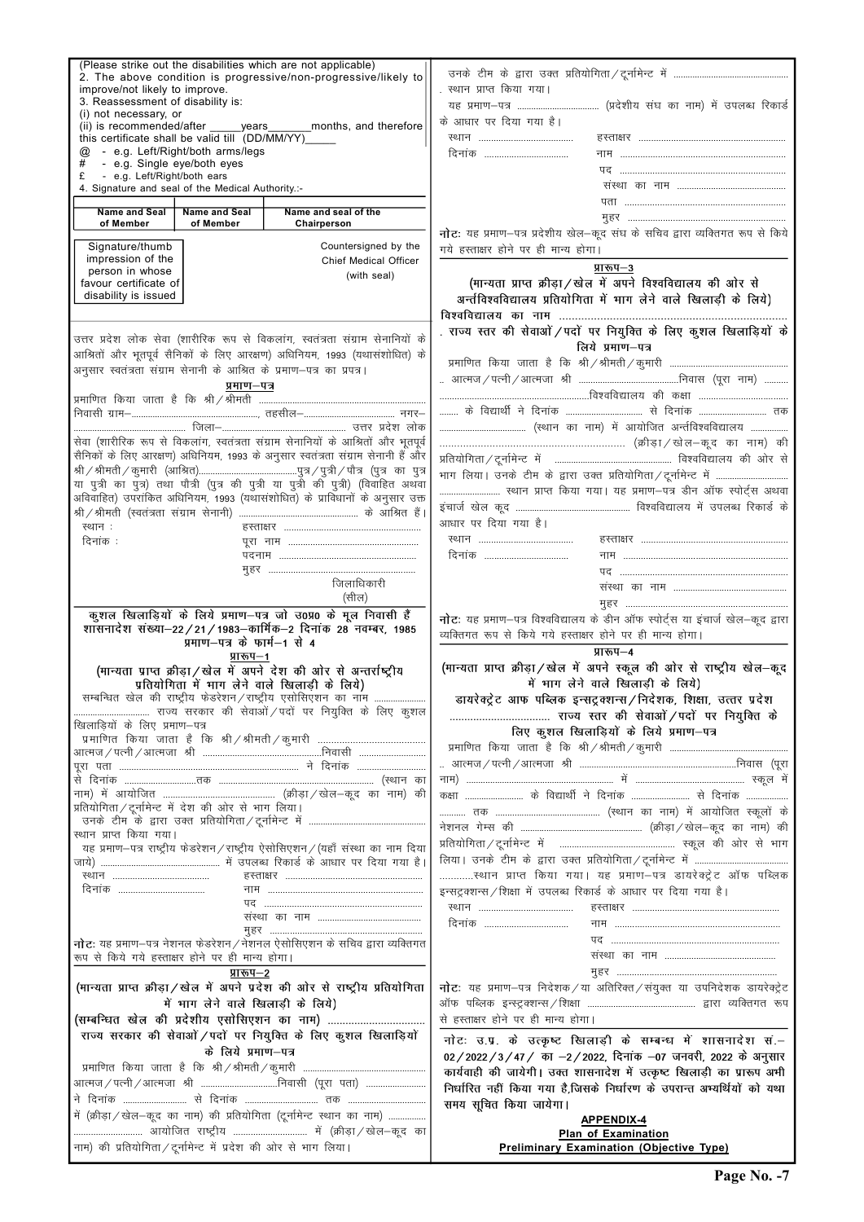| improve/not likely to improve.<br>3. Reassessment of disability is:<br>(i) not necessary, or<br>this certificate shall be valid till (DD/MM/YY)____<br>@<br>- e.g. Single eye/both eyes | - e.g. Left/Right/both arms/legs | (Please strike out the disabilities which are not applicable)<br>2. The above condition is progressive/non-progressive/likely to<br>(ii) is recommended/after ______ years________ months, and therefore | स्थान प्राप्त किया गया।<br>के आधार पर दिया गया है।<br>दिनांक                    |  |  |  |  |
|-----------------------------------------------------------------------------------------------------------------------------------------------------------------------------------------|----------------------------------|----------------------------------------------------------------------------------------------------------------------------------------------------------------------------------------------------------|---------------------------------------------------------------------------------|--|--|--|--|
| - e.g. Left/Right/both ears                                                                                                                                                             |                                  |                                                                                                                                                                                                          |                                                                                 |  |  |  |  |
| 4. Signature and seal of the Medical Authority.:-                                                                                                                                       |                                  |                                                                                                                                                                                                          |                                                                                 |  |  |  |  |
| <b>Name and Seal</b>                                                                                                                                                                    | <b>Name and Seal</b>             | Name and seal of the                                                                                                                                                                                     |                                                                                 |  |  |  |  |
| of Member                                                                                                                                                                               | of Member                        | Chairperson                                                                                                                                                                                              | नोटः यह प्रमाण-पत्र प्रदेशीय खेल-कूद संघ के सचिव द्वारा व्यक्तिगत रूप से किये   |  |  |  |  |
| Signature/thumb                                                                                                                                                                         |                                  | Countersigned by the                                                                                                                                                                                     | गये हस्ताक्षर होने पर ही मान्य होगा।                                            |  |  |  |  |
| impression of the                                                                                                                                                                       |                                  | <b>Chief Medical Officer</b>                                                                                                                                                                             |                                                                                 |  |  |  |  |
| person in whose                                                                                                                                                                         |                                  | (with seal)                                                                                                                                                                                              | प्रारूप–3                                                                       |  |  |  |  |
| favour certificate of<br>disability is issued                                                                                                                                           |                                  |                                                                                                                                                                                                          | (मान्यता प्राप्त क्रीड़ा / खेल में अपने विश्वविद्यालय की ओर से                  |  |  |  |  |
|                                                                                                                                                                                         |                                  |                                                                                                                                                                                                          | अर्न्तविश्वविद्यालय प्रतियोगिता में भाग लेने वाले खिलाड़ी के लिये)              |  |  |  |  |
|                                                                                                                                                                                         |                                  |                                                                                                                                                                                                          |                                                                                 |  |  |  |  |
|                                                                                                                                                                                         |                                  | उत्तर प्रदेश लोक सेवा (शारीरिक रूप से विकलांग, स्वतंत्रता संग्राम सेनानियों के                                                                                                                           | . राज्य स्तर की सेवाओं / पदों पर नियुक्ति के लिए कुशल खिलाड़ियों के             |  |  |  |  |
|                                                                                                                                                                                         |                                  | आश्रितों और भूतपूर्व सैनिकों के लिए आरक्षण) अधिनियम, 1993 (यथासंशोधित) के                                                                                                                                | लिये प्रमाण–पत्र                                                                |  |  |  |  |
|                                                                                                                                                                                         |                                  | अनुसार स्वतंत्रता संग्राम सेनानी के आश्रित के प्रमाण–पत्र का प्रपत्र।                                                                                                                                    |                                                                                 |  |  |  |  |
|                                                                                                                                                                                         | प्रमाण–पत्र                      |                                                                                                                                                                                                          |                                                                                 |  |  |  |  |
|                                                                                                                                                                                         |                                  |                                                                                                                                                                                                          |                                                                                 |  |  |  |  |
|                                                                                                                                                                                         |                                  |                                                                                                                                                                                                          | के विद्यार्थी ने दिनांक  से दिनांक  तक                                          |  |  |  |  |
|                                                                                                                                                                                         |                                  |                                                                                                                                                                                                          |                                                                                 |  |  |  |  |
|                                                                                                                                                                                         |                                  | सेवा (शारीरिक रूप से विकलांग, स्वतंत्रता संग्राम सेनानियों के आश्रितों और भूतपूर्व                                                                                                                       |                                                                                 |  |  |  |  |
|                                                                                                                                                                                         |                                  | सैनिकों के लिए आरक्षण) अधिनियम, 1993 के अनुसार स्वतंत्रता संग्राम सेनानी हैं और                                                                                                                          |                                                                                 |  |  |  |  |
|                                                                                                                                                                                         |                                  |                                                                                                                                                                                                          |                                                                                 |  |  |  |  |
|                                                                                                                                                                                         |                                  | या पुत्री का पुत्र) तथा पौत्री (पुत्र की पुत्री या पुत्री की पुत्री) (विवाहित अथवा                                                                                                                       | स्थान प्राप्त किया गया। यह प्रमाण-पत्र डीन ऑफ स्पोर्ट्स अथवा                    |  |  |  |  |
|                                                                                                                                                                                         |                                  | अविवाहित) उपरांकित अधिनियम, 1993 (यथासंशोधित) के प्राविधानों के अनुसार उक्त                                                                                                                              |                                                                                 |  |  |  |  |
|                                                                                                                                                                                         |                                  |                                                                                                                                                                                                          | आधार पर दिया गया है।                                                            |  |  |  |  |
| स्थान:                                                                                                                                                                                  |                                  |                                                                                                                                                                                                          |                                                                                 |  |  |  |  |
| दिनांक :                                                                                                                                                                                |                                  |                                                                                                                                                                                                          |                                                                                 |  |  |  |  |
|                                                                                                                                                                                         |                                  |                                                                                                                                                                                                          | दिनांक                                                                          |  |  |  |  |
|                                                                                                                                                                                         |                                  | जिलाधिकारी                                                                                                                                                                                               |                                                                                 |  |  |  |  |
|                                                                                                                                                                                         |                                  | (सील)                                                                                                                                                                                                    |                                                                                 |  |  |  |  |
|                                                                                                                                                                                         |                                  |                                                                                                                                                                                                          |                                                                                 |  |  |  |  |
|                                                                                                                                                                                         |                                  | कूशल खिलाड़ियों के लिये प्रमाण–पत्र जो उ0प्र0 के मूल निवासी हैं<br>शासनादेश संख्या-22/21/1983-कार्मिक-2 दिनांक 28 नवम्बर, 1985                                                                           | नोटः यह प्रमाण-पत्र विश्वविद्यालय के डीन ऑफ स्पोर्ट्स या इंचार्ज खेल-कूद द्वारा |  |  |  |  |
|                                                                                                                                                                                         | प्रमाण-पत्र के फार्म-1 से 4      |                                                                                                                                                                                                          | व्यक्तिगत रूप से किये गये हस्ताक्षर होने पर ही मान्य होगा।                      |  |  |  |  |
|                                                                                                                                                                                         | प्रारूप-1                        |                                                                                                                                                                                                          | प्रारूप-4                                                                       |  |  |  |  |
|                                                                                                                                                                                         |                                  | (मान्यता प्राप्त क्रीड़ा/खेल में अपने देश की ओर से अन्तर्राष्ट्रीय                                                                                                                                       | (मान्यता प्राप्त क्रीड़ा/खेल में अपने स्कूल की ओर से राष्ट्रीय खेल–कूद          |  |  |  |  |
|                                                                                                                                                                                         |                                  | प्रतियोगिता में भाग लेने वाले खिलाड़ी के लिये)                                                                                                                                                           | में भाग लेने वाले खिलाड़ी के लिये)                                              |  |  |  |  |
|                                                                                                                                                                                         |                                  | सम्बन्धित खेल की राष्ट्रीय फेडरेशन/राष्ट्रीय एसोसिएशन का नाम                                                                                                                                             | डायरेक्ट्रेट आफ पब्लिक इन्सट्रक्शन्स / निदेशक, शिक्षा, उत्तर प्रदेश             |  |  |  |  |
|                                                                                                                                                                                         |                                  |                                                                                                                                                                                                          |                                                                                 |  |  |  |  |
| खिलाड़ियों के लिए प्रमाण–पत्र                                                                                                                                                           |                                  |                                                                                                                                                                                                          | लिए कुशल खिलाड़ियों के लिये प्रमाण-पत्र                                         |  |  |  |  |
|                                                                                                                                                                                         |                                  |                                                                                                                                                                                                          |                                                                                 |  |  |  |  |
|                                                                                                                                                                                         |                                  |                                                                                                                                                                                                          |                                                                                 |  |  |  |  |
|                                                                                                                                                                                         |                                  |                                                                                                                                                                                                          |                                                                                 |  |  |  |  |
|                                                                                                                                                                                         |                                  |                                                                                                                                                                                                          | कक्षा  के विद्यार्थी ने दिनांक  से दिनांक                                       |  |  |  |  |
| प्रतियोगिता/टूर्नामेन्ट में देश की ओर से भाग लिया।                                                                                                                                      |                                  |                                                                                                                                                                                                          |                                                                                 |  |  |  |  |
|                                                                                                                                                                                         |                                  |                                                                                                                                                                                                          |                                                                                 |  |  |  |  |
| स्थान प्राप्त किया गया।                                                                                                                                                                 |                                  |                                                                                                                                                                                                          |                                                                                 |  |  |  |  |
|                                                                                                                                                                                         |                                  | यह प्रमाण-पत्र राष्ट्रीय फेडरेशन/राष्ट्रीय ऐसोसिएशन/(यहाँ संस्था का नाम दिया                                                                                                                             |                                                                                 |  |  |  |  |
|                                                                                                                                                                                         |                                  |                                                                                                                                                                                                          |                                                                                 |  |  |  |  |
|                                                                                                                                                                                         |                                  |                                                                                                                                                                                                          | स्थान प्राप्त किया गया। यह प्रमाण-पत्र डायरेक्ट्रेट ऑफ पब्लिक                   |  |  |  |  |
| दिनांक                                                                                                                                                                                  |                                  |                                                                                                                                                                                                          | इन्सट्रक्शन्स / शिक्षा में उपलब्ध रिकार्ड के आधार पर दिया गया है।               |  |  |  |  |
|                                                                                                                                                                                         |                                  |                                                                                                                                                                                                          |                                                                                 |  |  |  |  |
|                                                                                                                                                                                         |                                  |                                                                                                                                                                                                          |                                                                                 |  |  |  |  |

| नोटः यह प्रमाण–पत्र नेशनल फेडरेशन / नेशनल ऐसोसिएशन के सचिव द्वारा व्यक्तिगत<br>रूप से किये गये हस्ताक्षर होने पर ही मान्य होगा।<br>संस्था का नाम<br>प्रारूप–2  |
|----------------------------------------------------------------------------------------------------------------------------------------------------------------|
|                                                                                                                                                                |
|                                                                                                                                                                |
|                                                                                                                                                                |
| (मान्यता प्राप्त क्रीड़ा/खेल में अपने प्रदेश की ओर से राष्ट्रीय प्रतियोगिता<br><b>नोट</b> : यह प्रमाण-पत्र निदेशक/या अतिरिक्त/संयुक्त या उपनिदेशक डायरेक्ट्रेट |
| में भाग लेने वाले खिलाड़ी के लिये)                                                                                                                             |
| से हस्ताक्षर होने पर ही मान्य होगा।                                                                                                                            |
| राज्य सरकार की सेवाओं / पदों पर नियुक्ति के लिए कुशल खिलाड़ियों<br>नोटः उ.प्र. के उत्कृष्ट खिलाड़ी के सम्बन्ध में शासनादेश सं.–                                |
| के लिये प्रमाण–पत्र<br>02/2022/3/47/ का -2/2022, दिनांक -07 जनवरी, 2022 के अनुसार                                                                              |
| कार्यवाही की जायेगी। उक्त शासनादेश में उत्कृष्ट खिलाड़ी का प्रारूप अभी                                                                                         |
| आत्मज/पत्नी/आत्मजा श्री निवासी (पूरा पता)<br>निर्धारित नहीं किया गया है,जिसके निर्धारण के उपरान्त अभ्यर्थियों को यथा                                           |
| समय सूचित किया जायेगा।                                                                                                                                         |
| में (क्रीड़ा / खेल-कूद का नाम) की प्रतियोगिता (टूर्नामेन्ट स्थान का नाम)<br><b>APPENDIX-4</b>                                                                  |
| <b>Plan of Examination</b>                                                                                                                                     |
| नाम) की प्रतियोगिता/टूर्नामेन्ट में प्रदेश की ओर से भाग लिया।<br><b>Preliminary Examination (Objective Type)</b>                                               |